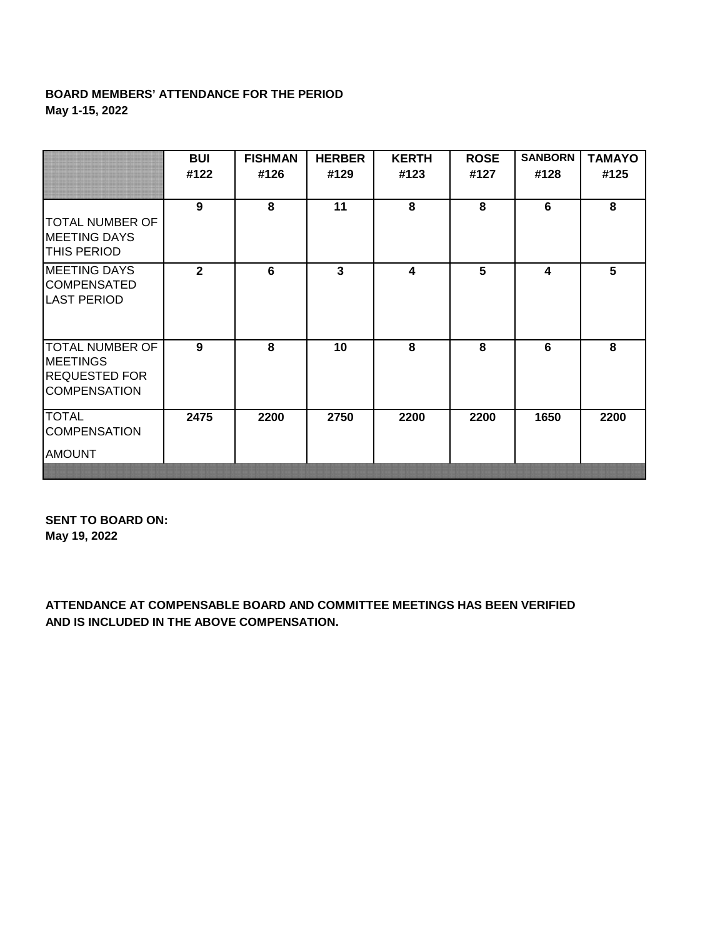## **BOARD MEMBERS' ATTENDANCE FOR THE PERIOD May 1-15, 2022**

|                                                                                          | <b>BUI</b><br>#122 | <b>FISHMAN</b><br>#126 | <b>HERBER</b><br>#129 | <b>KERTH</b><br>#123    | <b>ROSE</b><br>#127 | <b>SANBORN</b><br>#128 | <b>TAMAYO</b><br>#125 |
|------------------------------------------------------------------------------------------|--------------------|------------------------|-----------------------|-------------------------|---------------------|------------------------|-----------------------|
| TOTAL NUMBER OF<br><b>MEETING DAYS</b><br><b>THIS PERIOD</b>                             | 9                  | 8                      | 11                    | 8                       | 8                   | 6                      | 8                     |
| <b>MEETING DAYS</b><br><b>COMPENSATED</b><br><b>LAST PERIOD</b>                          | $\mathbf{2}$       | 6                      | $\mathbf{3}$          | $\overline{\mathbf{4}}$ | 5                   | 4                      | 5                     |
| <b>TOTAL NUMBER OF</b><br><b>MEETINGS</b><br><b>REQUESTED FOR</b><br><b>COMPENSATION</b> | 9                  | 8                      | 10                    | 8                       | 8                   | 6                      | 8                     |
| <b>TOTAL</b><br><b>COMPENSATION</b><br><b>AMOUNT</b>                                     | 2475               | 2200                   | 2750                  | 2200                    | 2200                | 1650                   | 2200                  |

**SENT TO BOARD ON: May 19, 2022**

**ATTENDANCE AT COMPENSABLE BOARD AND COMMITTEE MEETINGS HAS BEEN VERIFIED AND IS INCLUDED IN THE ABOVE COMPENSATION.**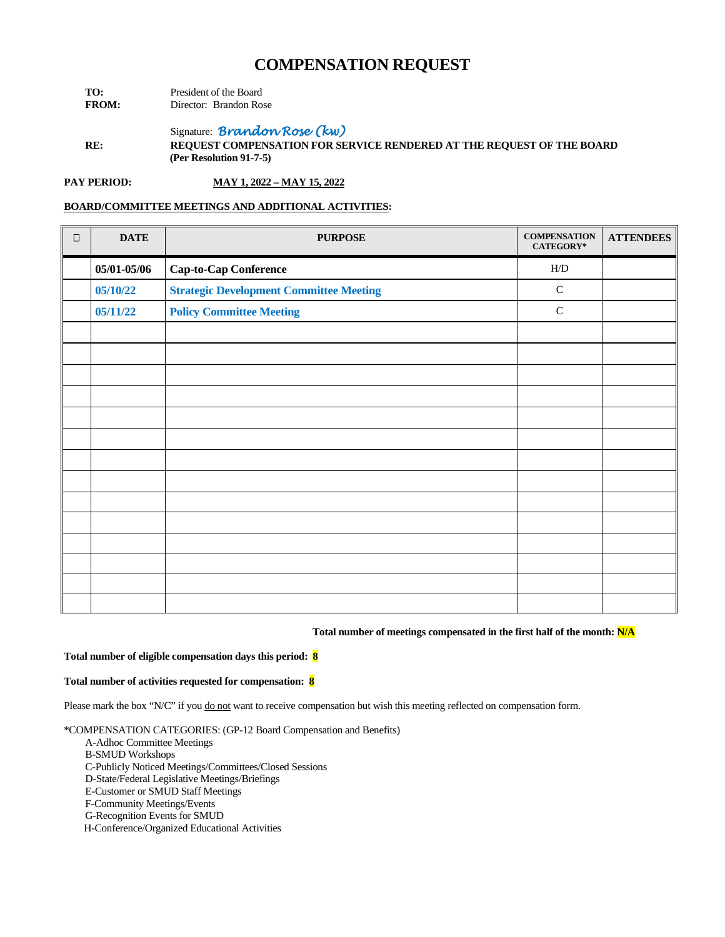| TO:          | President of the Board |                        |  |
|--------------|------------------------|------------------------|--|
| <b>FROM:</b> |                        | Director: Brandon Rose |  |

Signature: *Brandon Rose (kw)*

**RE: REQUEST COMPENSATION FOR SERVICE RENDERED AT THE REQUEST OF THE BOARD (Per Resolution 91-7-5)**

**PAY PERIOD: MAY 1, 2022 – MAY 15, 2022**

### **BOARD/COMMITTEE MEETINGS AND ADDITIONAL ACTIVITIES:**

| $\Box$ | <b>DATE</b> | <b>PURPOSE</b>                                 | <b>COMPENSATION</b><br>CATEGORY* | <b>ATTENDEES</b> |
|--------|-------------|------------------------------------------------|----------------------------------|------------------|
|        | 05/01-05/06 | Cap-to-Cap Conference                          | H/D                              |                  |
|        | 05/10/22    | <b>Strategic Development Committee Meeting</b> | $\mathbf C$                      |                  |
|        | 05/11/22    | <b>Policy Committee Meeting</b>                | $\mathbf C$                      |                  |
|        |             |                                                |                                  |                  |
|        |             |                                                |                                  |                  |
|        |             |                                                |                                  |                  |
|        |             |                                                |                                  |                  |
|        |             |                                                |                                  |                  |
|        |             |                                                |                                  |                  |
|        |             |                                                |                                  |                  |
|        |             |                                                |                                  |                  |
|        |             |                                                |                                  |                  |
|        |             |                                                |                                  |                  |
|        |             |                                                |                                  |                  |
|        |             |                                                |                                  |                  |
|        |             |                                                |                                  |                  |
|        |             |                                                |                                  |                  |

### **Total number of meetings compensated in the first half of the month: N/A**

#### **Total number of eligible compensation days this period: 8**

#### **Total number of activities requested for compensation: 8**

Please mark the box "N/C" if you do not want to receive compensation but wish this meeting reflected on compensation form.

\*COMPENSATION CATEGORIES: (GP-12 Board Compensation and Benefits)

- A-Adhoc Committee Meetings
- B-SMUD Workshops
- C-Publicly Noticed Meetings/Committees/Closed Sessions

D-State/Federal Legislative Meetings/Briefings

E-Customer or SMUD Staff Meetings

F-Community Meetings/Events

G-Recognition Events for SMUD

H-Conference/Organized Educational Activities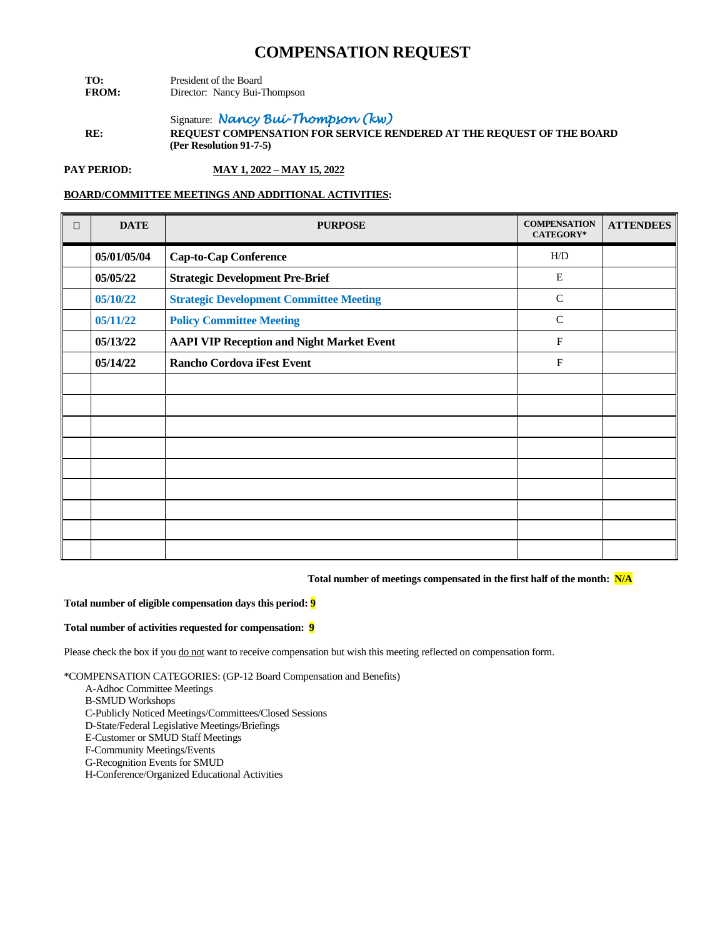- **TO:** President of the Board<br>**FROM:** Director: Nancy Bui-T Director: Nancy Bui-Thompson
- Signature: *Nancy Bui-Thompson (kw)* **RE: REQUEST COMPENSATION FOR SERVICE RENDERED AT THE REQUEST OF THE BOARD (Per Resolution 91-7-5)**

**PAY PERIOD: MAY 1, 2022 – MAY 15, 2022**

## **BOARD/COMMITTEE MEETINGS AND ADDITIONAL ACTIVITIES:**

| $\Box$ | <b>DATE</b> | <b>PURPOSE</b>                                   | <b>COMPENSATION</b><br>CATEGORY* | <b>ATTENDEES</b> |
|--------|-------------|--------------------------------------------------|----------------------------------|------------------|
|        | 05/01/05/04 | <b>Cap-to-Cap Conference</b>                     | H/D                              |                  |
|        | 05/05/22    | <b>Strategic Development Pre-Brief</b>           | $\mathbf E$                      |                  |
|        | 05/10/22    | <b>Strategic Development Committee Meeting</b>   | $\mathsf{C}$                     |                  |
|        | 05/11/22    | <b>Policy Committee Meeting</b>                  | $\mathsf{C}$                     |                  |
|        | 05/13/22    | <b>AAPI VIP Reception and Night Market Event</b> | $\mathbf{F}$                     |                  |
|        | 05/14/22    | Rancho Cordova iFest Event                       | $\mathbf F$                      |                  |
|        |             |                                                  |                                  |                  |
|        |             |                                                  |                                  |                  |
|        |             |                                                  |                                  |                  |
|        |             |                                                  |                                  |                  |
|        |             |                                                  |                                  |                  |
|        |             |                                                  |                                  |                  |
|        |             |                                                  |                                  |                  |
|        |             |                                                  |                                  |                  |
|        |             |                                                  |                                  |                  |

**Total number of meetings compensated in the first half of the month: N/A**

#### **Total number of eligible compensation days this period: 9**

#### **Total number of activities requested for compensation: 9**

Please check the box if you do not want to receive compensation but wish this meeting reflected on compensation form.

- A-Adhoc Committee Meetings
- B-SMUD Workshops
- C-Publicly Noticed Meetings/Committees/Closed Sessions
- D-State/Federal Legislative Meetings/Briefings
- E-Customer or SMUD Staff Meetings
- F-Community Meetings/Events
- G-Recognition Events for SMUD
- H-Conference/Organized Educational Activities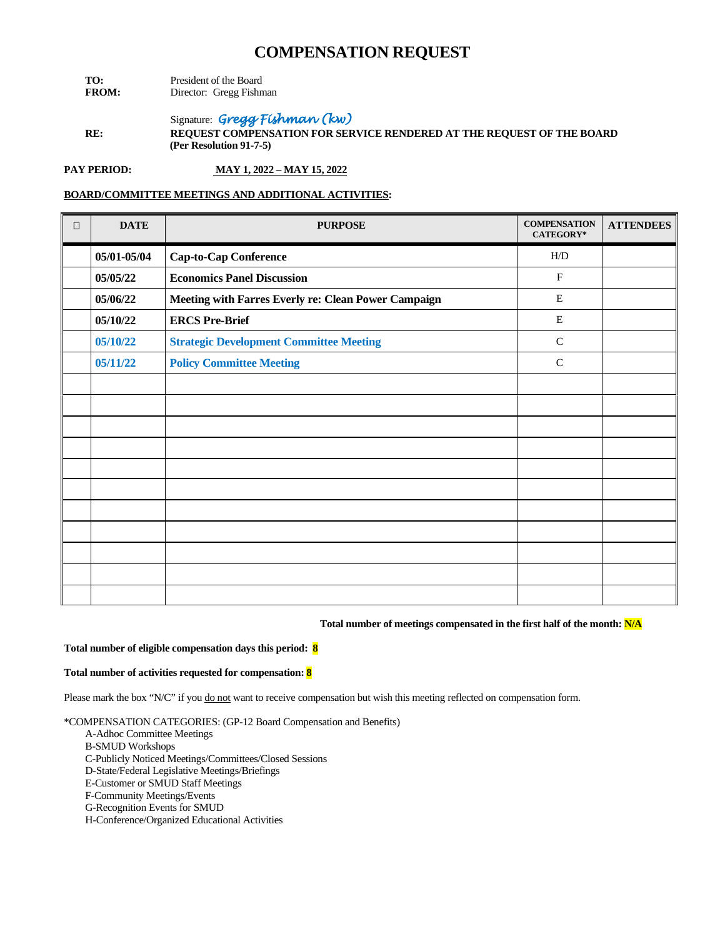- **TO:** President of the Board<br>**FROM:** Director: Gregg Fishn **Director:** Gregg Fishman
- Signature: *Gregg Fishman (kw)*  **RE: REQUEST COMPENSATION FOR SERVICE RENDERED AT THE REQUEST OF THE BOARD (Per Resolution 91-7-5)**

**PAY PERIOD: MAY 1, 2022 – MAY 15, 2022**

## **BOARD/COMMITTEE MEETINGS AND ADDITIONAL ACTIVITIES:**

| $\Box$ | <b>DATE</b> | <b>PURPOSE</b>                                      | <b>COMPENSATION</b><br><b>CATEGORY*</b> | <b>ATTENDEES</b> |
|--------|-------------|-----------------------------------------------------|-----------------------------------------|------------------|
|        | 05/01-05/04 | <b>Cap-to-Cap Conference</b>                        | H/D                                     |                  |
|        | 05/05/22    | <b>Economics Panel Discussion</b>                   | $\mathbf F$                             |                  |
|        | 05/06/22    | Meeting with Farres Everly re: Clean Power Campaign | Е                                       |                  |
|        | 05/10/22    | <b>ERCS Pre-Brief</b>                               | E                                       |                  |
|        | 05/10/22    | <b>Strategic Development Committee Meeting</b>      | ${\bf C}$                               |                  |
|        | 05/11/22    | <b>Policy Committee Meeting</b>                     | ${\bf C}$                               |                  |
|        |             |                                                     |                                         |                  |
|        |             |                                                     |                                         |                  |
|        |             |                                                     |                                         |                  |
|        |             |                                                     |                                         |                  |
|        |             |                                                     |                                         |                  |
|        |             |                                                     |                                         |                  |
|        |             |                                                     |                                         |                  |
|        |             |                                                     |                                         |                  |
|        |             |                                                     |                                         |                  |
|        |             |                                                     |                                         |                  |
|        |             |                                                     |                                         |                  |

#### **Total number of meetings compensated in the first half of the month: N/A**

#### **Total number of eligible compensation days this period: 8**

#### **Total number of activities requested for compensation: 8**

Please mark the box "N/C" if you do not want to receive compensation but wish this meeting reflected on compensation form.

- A-Adhoc Committee Meetings
- B-SMUD Workshops
- C-Publicly Noticed Meetings/Committees/Closed Sessions
- D-State/Federal Legislative Meetings/Briefings
- E-Customer or SMUD Staff Meetings
- F-Community Meetings/Events
- G-Recognition Events for SMUD
- H-Conference/Organized Educational Activities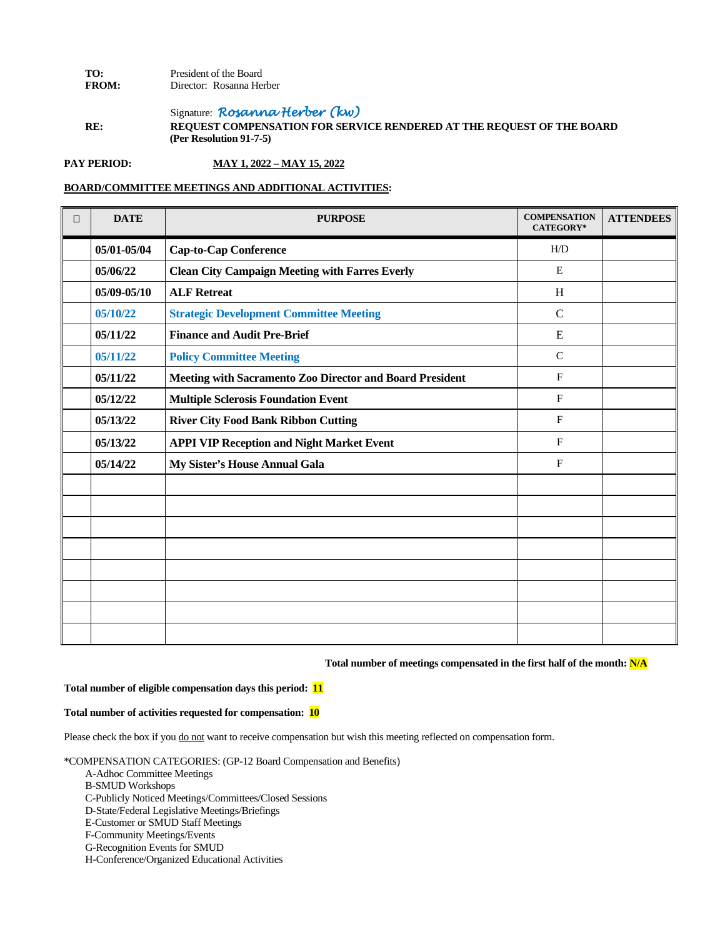### **TO:** President of the Board<br>**FROM:** Director: Rosanna He Director: Rosanna Herber

Signature: *Rosanna Herber (kw)* **RE: REQUEST COMPENSATION FOR SERVICE RENDERED AT THE REQUEST OF THE BOARD (Per Resolution 91-7-5)**

**PAY PERIOD: MAY 1, 2022 – MAY 15, 2022**

### **BOARD/COMMITTEE MEETINGS AND ADDITIONAL ACTIVITIES:**

| $\Box$ | <b>DATE</b> | <b>PURPOSE</b>                                           | <b>COMPENSATION</b><br>CATEGORY* | <b>ATTENDEES</b> |
|--------|-------------|----------------------------------------------------------|----------------------------------|------------------|
|        | 05/01-05/04 | <b>Cap-to-Cap Conference</b>                             | H/D                              |                  |
|        | 05/06/22    | <b>Clean City Campaign Meeting with Farres Everly</b>    | E                                |                  |
|        | 05/09-05/10 | <b>ALF Retreat</b>                                       | H                                |                  |
|        | 05/10/22    | <b>Strategic Development Committee Meeting</b>           | $\mathbf C$                      |                  |
|        | 05/11/22    | <b>Finance and Audit Pre-Brief</b>                       | E                                |                  |
|        | 05/11/22    | <b>Policy Committee Meeting</b>                          | $\mathcal{C}$                    |                  |
|        | 05/11/22    | Meeting with Sacramento Zoo Director and Board President | F                                |                  |
|        | 05/12/22    | <b>Multiple Sclerosis Foundation Event</b>               | $\mathbf{F}$                     |                  |
|        | 05/13/22    | <b>River City Food Bank Ribbon Cutting</b>               | $\mathbf{F}$                     |                  |
|        | 05/13/22    | <b>APPI VIP Reception and Night Market Event</b>         | $\mathbf F$                      |                  |
|        | 05/14/22    | My Sister's House Annual Gala                            | $\mathbf{F}$                     |                  |
|        |             |                                                          |                                  |                  |
|        |             |                                                          |                                  |                  |
|        |             |                                                          |                                  |                  |
|        |             |                                                          |                                  |                  |
|        |             |                                                          |                                  |                  |
|        |             |                                                          |                                  |                  |
|        |             |                                                          |                                  |                  |
|        |             |                                                          |                                  |                  |

**Total number of meetings compensated in the first half of the month: N/A**

#### **Total number of eligible compensation days this period: 11**

#### **Total number of activities requested for compensation: 10**

Please check the box if you do not want to receive compensation but wish this meeting reflected on compensation form.

- A-Adhoc Committee Meetings
- B-SMUD Workshops
- C-Publicly Noticed Meetings/Committees/Closed Sessions
- D-State/Federal Legislative Meetings/Briefings
- E-Customer or SMUD Staff Meetings
- F-Community Meetings/Events
- G-Recognition Events for SMUD
- H-Conference/Organized Educational Activities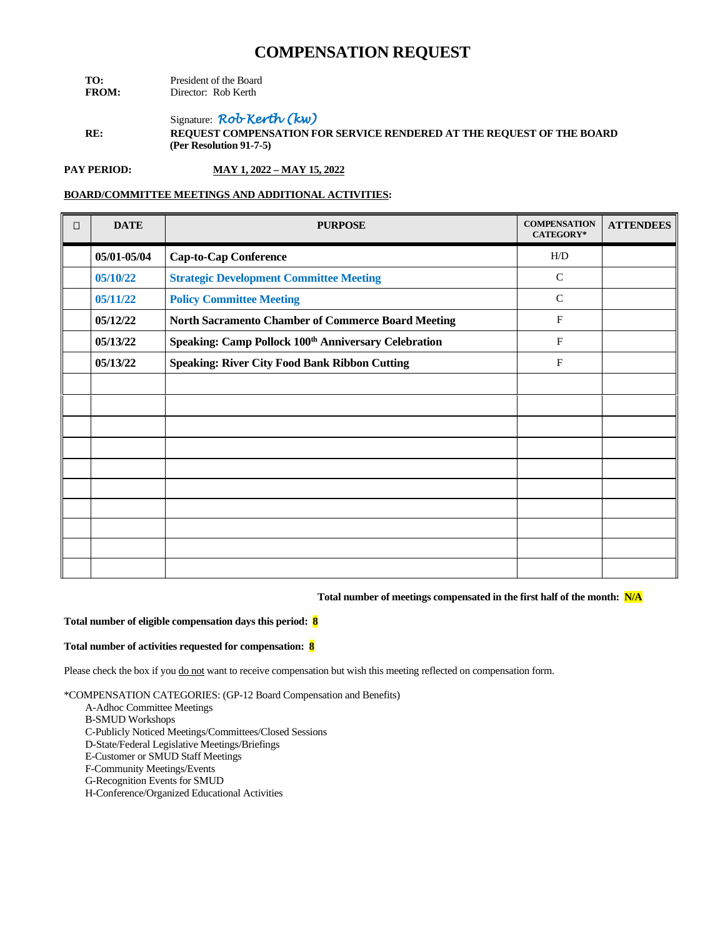| TO:          | President of the Board |  |
|--------------|------------------------|--|
| <b>FROM:</b> | Director: Rob Kerth    |  |

Signature: *Rob Kerth (kw)* **RE: REQUEST COMPENSATION FOR SERVICE RENDERED AT THE REQUEST OF THE BOARD (Per Resolution 91-7-5)**

**PAY PERIOD: MAY 1, 2022 – MAY 15, 2022**

## **BOARD/COMMITTEE MEETINGS AND ADDITIONAL ACTIVITIES:**

| $\Box$ | <b>DATE</b> | <b>PURPOSE</b>                                                   | <b>COMPENSATION</b><br><b>CATEGORY*</b> | <b>ATTENDEES</b> |
|--------|-------------|------------------------------------------------------------------|-----------------------------------------|------------------|
|        | 05/01-05/04 | <b>Cap-to-Cap Conference</b>                                     | H/D                                     |                  |
|        | 05/10/22    | <b>Strategic Development Committee Meeting</b>                   | $\mathsf{C}$                            |                  |
|        | 05/11/22    | <b>Policy Committee Meeting</b>                                  | $\mathsf{C}$                            |                  |
|        | 05/12/22    | North Sacramento Chamber of Commerce Board Meeting               | $\mathbf{F}$                            |                  |
|        | 05/13/22    | Speaking: Camp Pollock 100 <sup>th</sup> Anniversary Celebration | $\mathbf{F}$                            |                  |
|        | 05/13/22    | <b>Speaking: River City Food Bank Ribbon Cutting</b>             | F                                       |                  |
|        |             |                                                                  |                                         |                  |
|        |             |                                                                  |                                         |                  |
|        |             |                                                                  |                                         |                  |
|        |             |                                                                  |                                         |                  |
|        |             |                                                                  |                                         |                  |
|        |             |                                                                  |                                         |                  |
|        |             |                                                                  |                                         |                  |
|        |             |                                                                  |                                         |                  |
|        |             |                                                                  |                                         |                  |
|        |             |                                                                  |                                         |                  |

#### **Total number of meetings compensated in the first half of the month: N/A**

#### **Total number of eligible compensation days this period: 8**

#### **Total number of activities requested for compensation: 8**

Please check the box if you do not want to receive compensation but wish this meeting reflected on compensation form.

\*COMPENSATION CATEGORIES: (GP-12 Board Compensation and Benefits)

A-Adhoc Committee Meetings

B-SMUD Workshops

C-Publicly Noticed Meetings/Committees/Closed Sessions

D-State/Federal Legislative Meetings/Briefings

E-Customer or SMUD Staff Meetings

F-Community Meetings/Events

G-Recognition Events for SMUD

H-Conference/Organized Educational Activities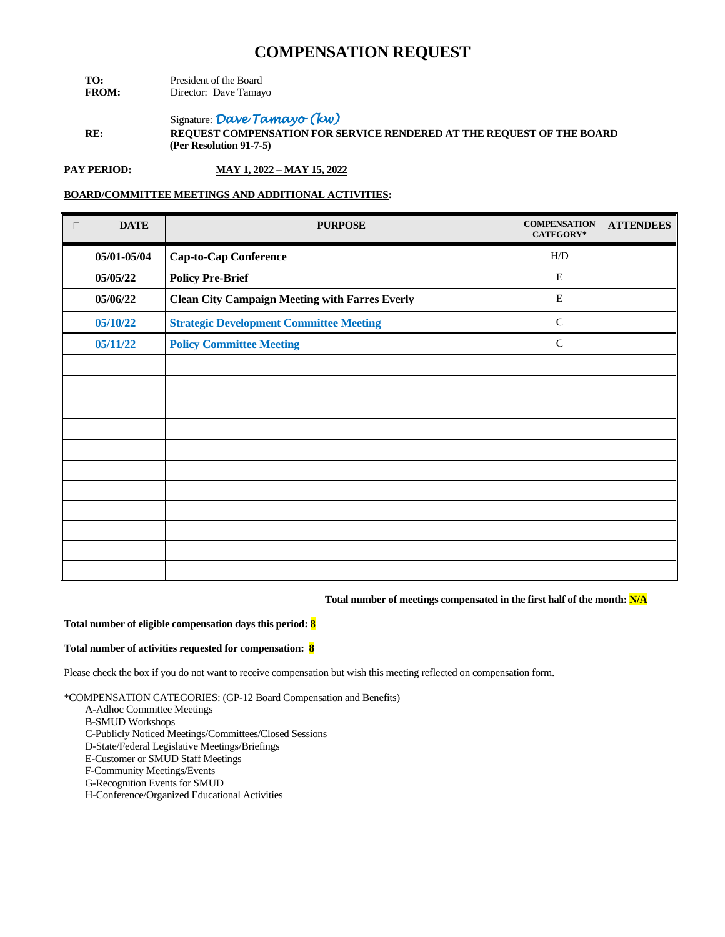| TO:          | President of the Board |  |  |
|--------------|------------------------|--|--|
| <b>FROM:</b> | Director: Dave Tamayo  |  |  |

Signature: *Dave Tamayo (kw)* **RE: REQUEST COMPENSATION FOR SERVICE RENDERED AT THE REQUEST OF THE BOARD (Per Resolution 91-7-5)**

**PAY PERIOD: MAY 1, 2022 – MAY 15, 2022**

## **BOARD/COMMITTEE MEETINGS AND ADDITIONAL ACTIVITIES:**

| $\Box$ | <b>DATE</b> | <b>PURPOSE</b>                                        | <b>COMPENSATION</b><br><b>CATEGORY*</b> | <b>ATTENDEES</b> |
|--------|-------------|-------------------------------------------------------|-----------------------------------------|------------------|
|        | 05/01-05/04 | <b>Cap-to-Cap Conference</b>                          | H/D                                     |                  |
|        | 05/05/22    | <b>Policy Pre-Brief</b>                               | $\mathbf E$                             |                  |
|        | 05/06/22    | <b>Clean City Campaign Meeting with Farres Everly</b> | $\mathbf E$                             |                  |
|        | 05/10/22    | <b>Strategic Development Committee Meeting</b>        | $\mathbf C$                             |                  |
|        | 05/11/22    | <b>Policy Committee Meeting</b>                       | $\mathsf{C}$                            |                  |
|        |             |                                                       |                                         |                  |
|        |             |                                                       |                                         |                  |
|        |             |                                                       |                                         |                  |
|        |             |                                                       |                                         |                  |
|        |             |                                                       |                                         |                  |
|        |             |                                                       |                                         |                  |
|        |             |                                                       |                                         |                  |
|        |             |                                                       |                                         |                  |
|        |             |                                                       |                                         |                  |
|        |             |                                                       |                                         |                  |
|        |             |                                                       |                                         |                  |

### **Total number of meetings compensated in the first half of the month: N/A**

#### **Total number of eligible compensation days this period: 8**

#### **Total number of activities requested for compensation: 8**

Please check the box if you do not want to receive compensation but wish this meeting reflected on compensation form.

- A-Adhoc Committee Meetings
- B-SMUD Workshops
- C-Publicly Noticed Meetings/Committees/Closed Sessions
- D-State/Federal Legislative Meetings/Briefings
- E-Customer or SMUD Staff Meetings
- F-Community Meetings/Events
- G-Recognition Events for SMUD
- H-Conference/Organized Educational Activities